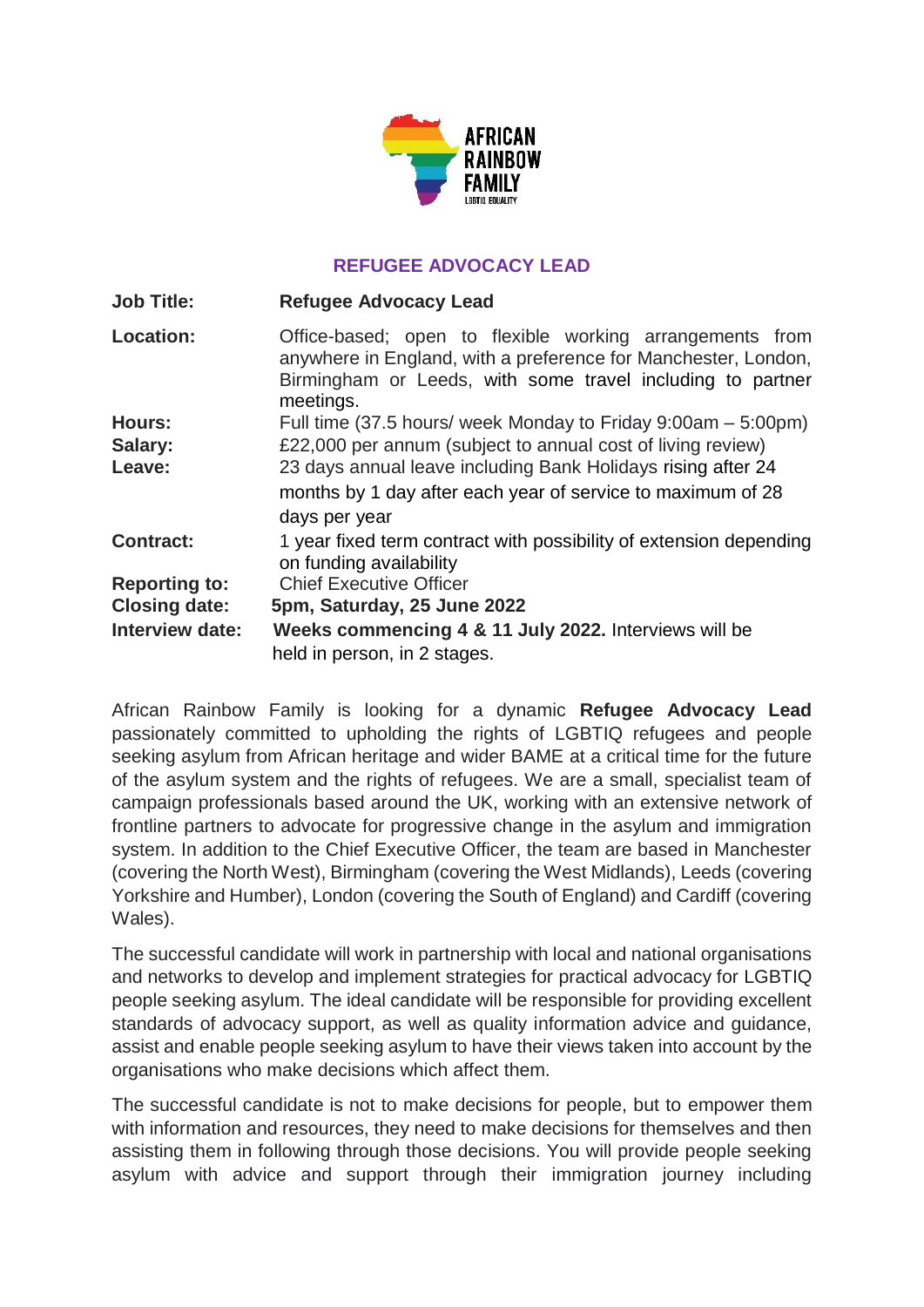

## **REFUGEE ADVOCACY LEAD**

| <b>Job Title:</b>    | <b>Refugee Advocacy Lead</b>                                                                                                                                                                          |
|----------------------|-------------------------------------------------------------------------------------------------------------------------------------------------------------------------------------------------------|
| <b>Location:</b>     | Office-based; open to flexible working arrangements from<br>anywhere in England, with a preference for Manchester, London,<br>Birmingham or Leeds, with some travel including to partner<br>meetings. |
| Hours:               | Full time (37.5 hours/ week Monday to Friday 9:00am – 5:00pm)                                                                                                                                         |
| Salary:              | £22,000 per annum (subject to annual cost of living review)                                                                                                                                           |
| Leave:               | 23 days annual leave including Bank Holidays rising after 24<br>months by 1 day after each year of service to maximum of 28<br>days per year                                                          |
| <b>Contract:</b>     | 1 year fixed term contract with possibility of extension depending<br>on funding availability                                                                                                         |
| <b>Reporting to:</b> | <b>Chief Executive Officer</b>                                                                                                                                                                        |
| <b>Closing date:</b> | 5pm, Saturday, 25 June 2022                                                                                                                                                                           |
| Interview date:      | Weeks commencing 4 & 11 July 2022. Interviews will be<br>held in person, in 2 stages.                                                                                                                 |

African Rainbow Family is looking for a dynamic **Refugee Advocacy Lead** passionately committed to upholding the rights of LGBTIQ refugees and people seeking asylum from African heritage and wider BAME at a critical time for the future of the asylum system and the rights of refugees. We are a small, specialist team of campaign professionals based around the UK, working with an extensive network of frontline partners to advocate for progressive change in the asylum and immigration system. In addition to the Chief Executive Officer, the team are based in Manchester (covering the North West), Birmingham (covering the West Midlands), Leeds (covering Yorkshire and Humber), London (covering the South of England) and Cardiff (covering Wales).

The successful candidate will work in partnership with local and national organisations and networks to develop and implement strategies for practical advocacy for LGBTIQ people seeking asylum. The ideal candidate will be responsible for providing excellent standards of advocacy support, as well as quality information advice and guidance, assist and enable people seeking asylum to have their views taken into account by the organisations who make decisions which affect them.

The successful candidate is not to make decisions for people, but to empower them with information and resources, they need to make decisions for themselves and then assisting them in following through those decisions. You will provide people seeking asylum with advice and support through their immigration journey including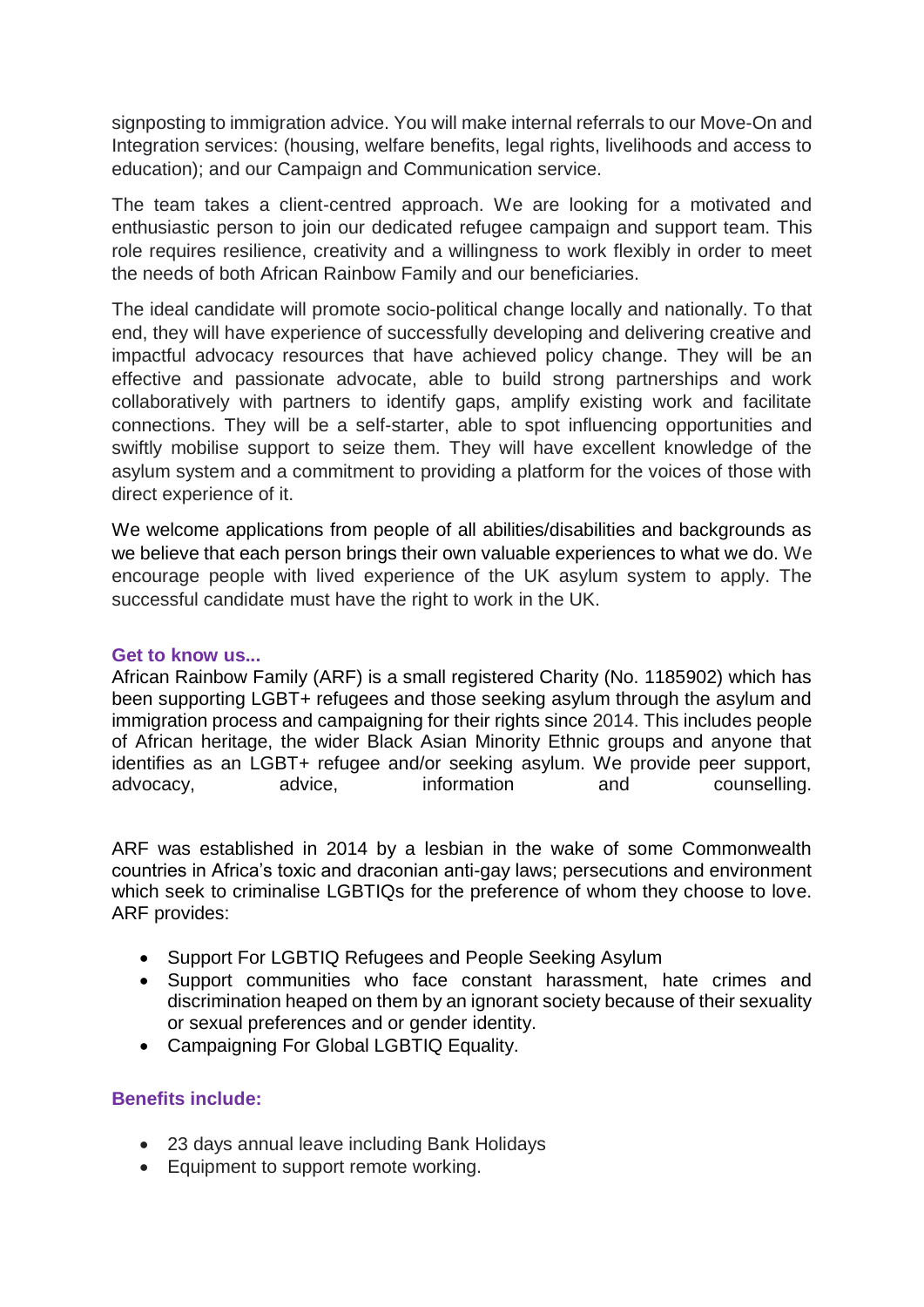signposting to immigration advice. You will make internal referrals to our Move-On and Integration services: (housing, welfare benefits, legal rights, livelihoods and access to education); and our Campaign and Communication service.

The team takes a client-centred approach. We are looking for a motivated and enthusiastic person to join our dedicated refugee campaign and support team. This role requires resilience, creativity and a willingness to work flexibly in order to meet the needs of both African Rainbow Family and our beneficiaries.

The ideal candidate will promote socio-political change locally and nationally. To that end, they will have experience of successfully developing and delivering creative and impactful advocacy resources that have achieved policy change. They will be an effective and passionate advocate, able to build strong partnerships and work collaboratively with partners to identify gaps, amplify existing work and facilitate connections. They will be a self-starter, able to spot influencing opportunities and swiftly mobilise support to seize them. They will have excellent knowledge of the asylum system and a commitment to providing a platform for the voices of those with direct experience of it.

We welcome applications from people of all abilities/disabilities and backgrounds as we believe that each person brings their own valuable experiences to what we do. We encourage people with lived experience of the UK asylum system to apply. The successful candidate must have the right to work in the UK.

### **Get to know us...**

African Rainbow Family (ARF) is a small registered Charity (No. 1185902) which has been supporting LGBT+ refugees and those seeking asylum through the asylum and immigration process and campaigning for their rights since 2014. This includes people of African heritage, the wider Black Asian Minority Ethnic groups and anyone that identifies as an LGBT+ refugee and/or seeking asylum. We provide peer support, advocacy, advice, information and counselling.

ARF was established in 2014 by a lesbian in the wake of some Commonwealth countries in Africa's toxic and draconian anti-gay laws; persecutions and environment which seek to criminalise LGBTIQs for the preference of whom they choose to love. ARF provides:

- Support For LGBTIQ Refugees and People Seeking Asylum
- Support communities who face constant harassment, hate crimes and discrimination heaped on them by an ignorant society because of their sexuality or sexual preferences and or gender identity.
- Campaigning For Global LGBTIQ Equality.

## **Benefits include:**

- 23 days annual leave including Bank Holidays
- Equipment to support remote working.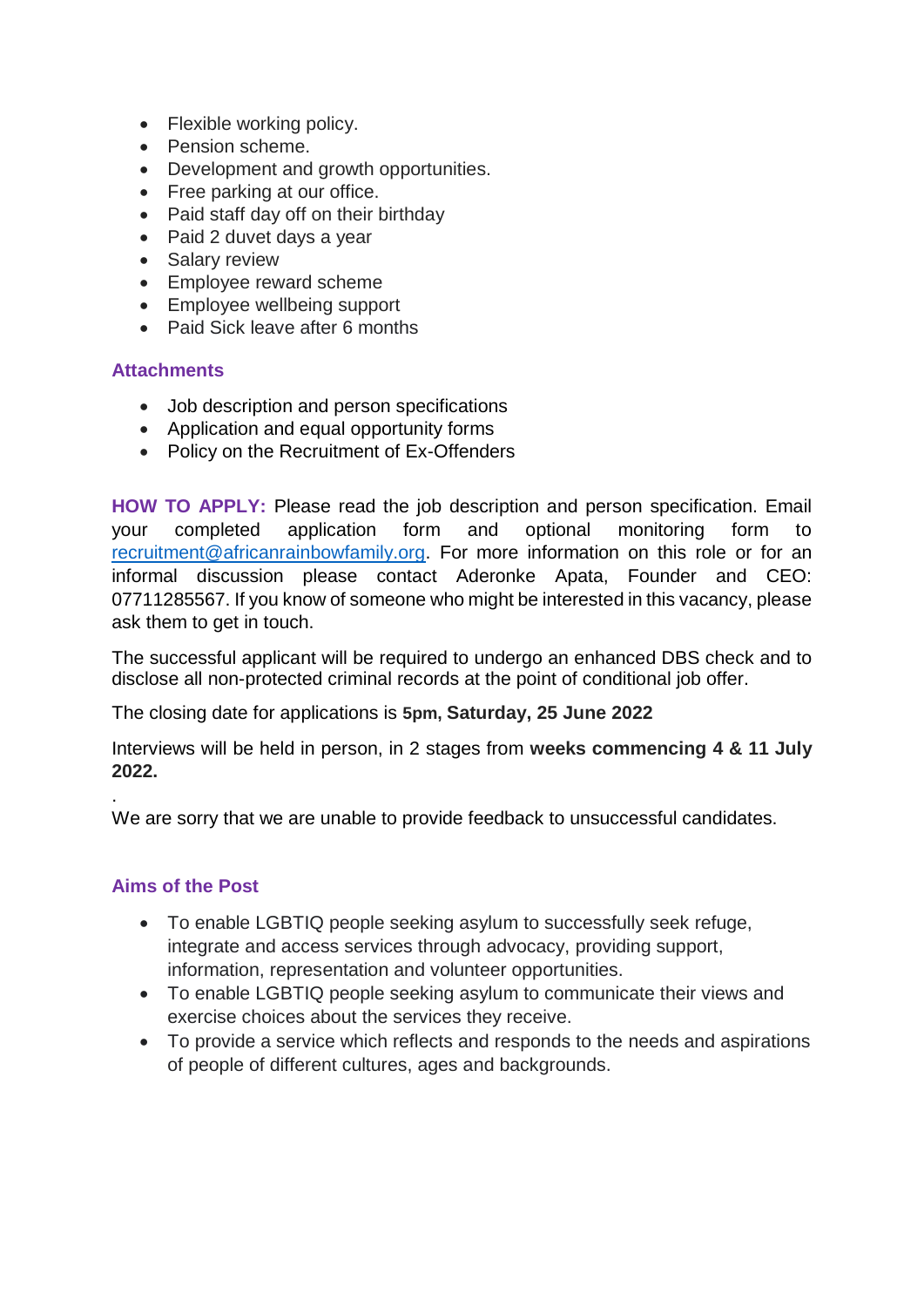- Flexible working policy.
- Pension scheme.
- Development and growth opportunities.
- Free parking at our office.
- Paid staff day off on their birthday
- Paid 2 duvet days a year
- Salary review
- Employee reward scheme
- Employee wellbeing support
- Paid Sick leave after 6 months

### **Attachments**

- Job description and person specifications
- Application and equal opportunity forms
- Policy on the Recruitment of Ex-Offenders

**HOW TO APPLY:** Please read the job description and person specification. Email your completed application form and optional monitoring form to [recruitment@africanrainbowfamily.org.](mailto:recruitment@africanrainbowfamily.org) For more information on this role or for an informal discussion please contact Aderonke Apata, Founder and CEO: 07711285567. If you know of someone who might be interested in this vacancy, please ask them to get in touch.

The successful applicant will be required to undergo an enhanced DBS check and to disclose all non-protected criminal records at the point of conditional job offer.

The closing date for applications is **5pm, Saturday, 25 June 2022**

Interviews will be held in person, in 2 stages from **weeks commencing 4 & 11 July 2022.** 

We are sorry that we are unable to provide feedback to unsuccessful candidates.

### **Aims of the Post**

.

- To enable LGBTIQ people seeking asylum to successfully seek refuge, integrate and access services through advocacy, providing support, information, representation and volunteer opportunities.
- To enable LGBTIQ people seeking asylum to communicate their views and exercise choices about the services they receive.
- To provide a service which reflects and responds to the needs and aspirations of people of different cultures, ages and backgrounds.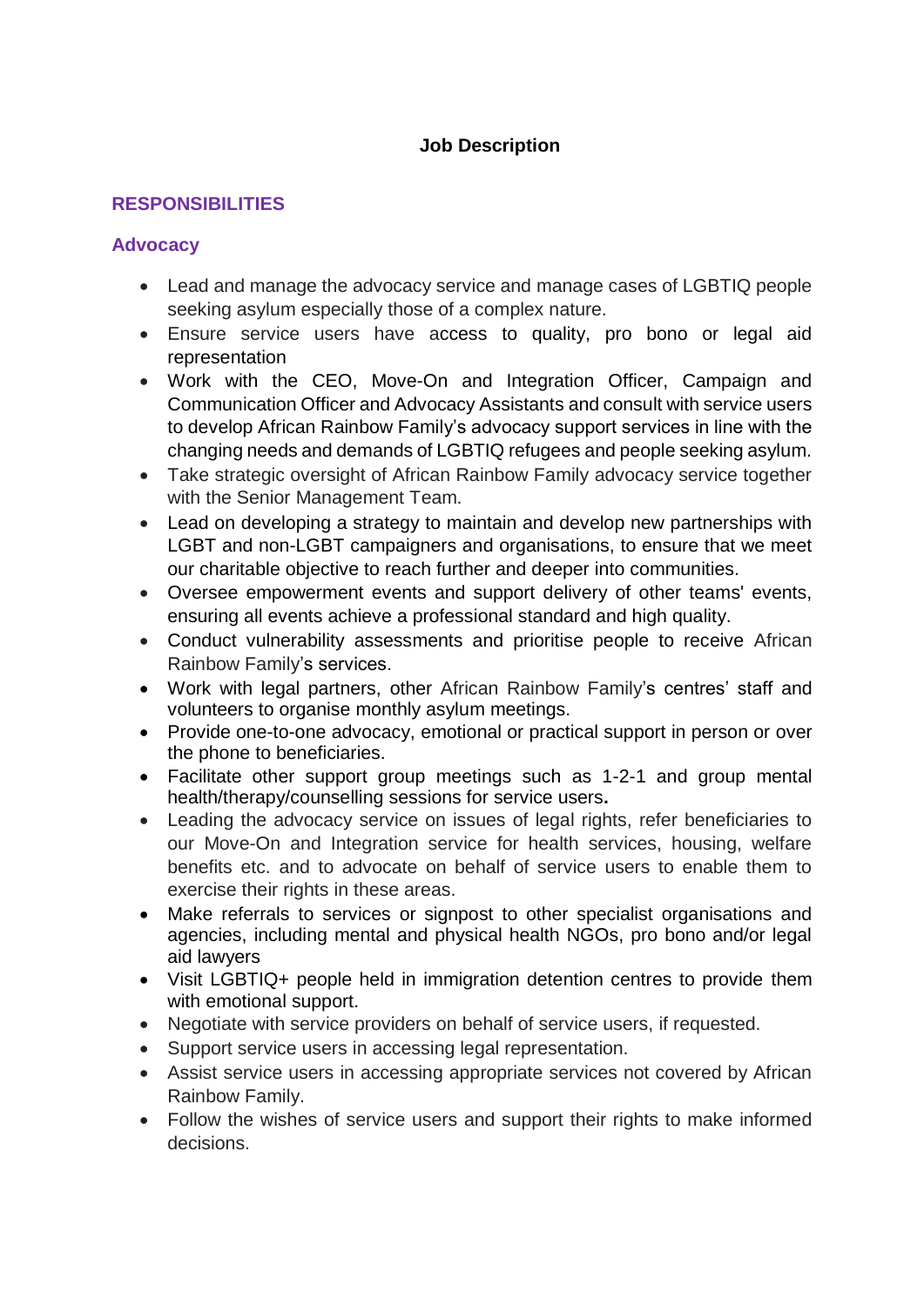## **Job Description**

## **RESPONSIBILITIES**

### **Advocacy**

- Lead and manage the advocacy service and manage cases of LGBTIQ people seeking asylum especially those of a complex nature.
- Ensure service users have access to quality, pro bono or legal aid representation
- Work with the CEO, Move-On and Integration Officer, Campaign and Communication Officer and Advocacy Assistants and consult with service users to develop African Rainbow Family's advocacy support services in line with the changing needs and demands of LGBTIQ refugees and people seeking asylum.
- Take strategic oversight of African Rainbow Family advocacy service together with the Senior Management Team.
- Lead on developing a strategy to maintain and develop new partnerships with LGBT and non-LGBT campaigners and organisations, to ensure that we meet our charitable objective to reach further and deeper into communities.
- Oversee empowerment events and support delivery of other teams' events, ensuring all events achieve a professional standard and high quality.
- Conduct vulnerability assessments and prioritise people to receive African Rainbow Family's services.
- Work with legal partners, other African Rainbow Family's centres' staff and volunteers to organise monthly asylum meetings.
- Provide one-to-one advocacy, emotional or practical support in person or over the phone to beneficiaries.
- Facilitate other support group meetings such as 1-2-1 and group mental health/therapy/counselling sessions for service users**.**
- Leading the advocacy service on issues of legal rights, refer beneficiaries to our Move-On and Integration service for health services, housing, welfare benefits etc. and to advocate on behalf of service users to enable them to exercise their rights in these areas.
- Make referrals to services or signpost to other specialist organisations and agencies, including mental and physical health NGOs, pro bono and/or legal aid lawyers
- Visit LGBTIQ+ people held in immigration detention centres to provide them with emotional support.
- Negotiate with service providers on behalf of service users, if requested.
- Support service users in accessing legal representation.
- Assist service users in accessing appropriate services not covered by African Rainbow Family.
- Follow the wishes of service users and support their rights to make informed decisions.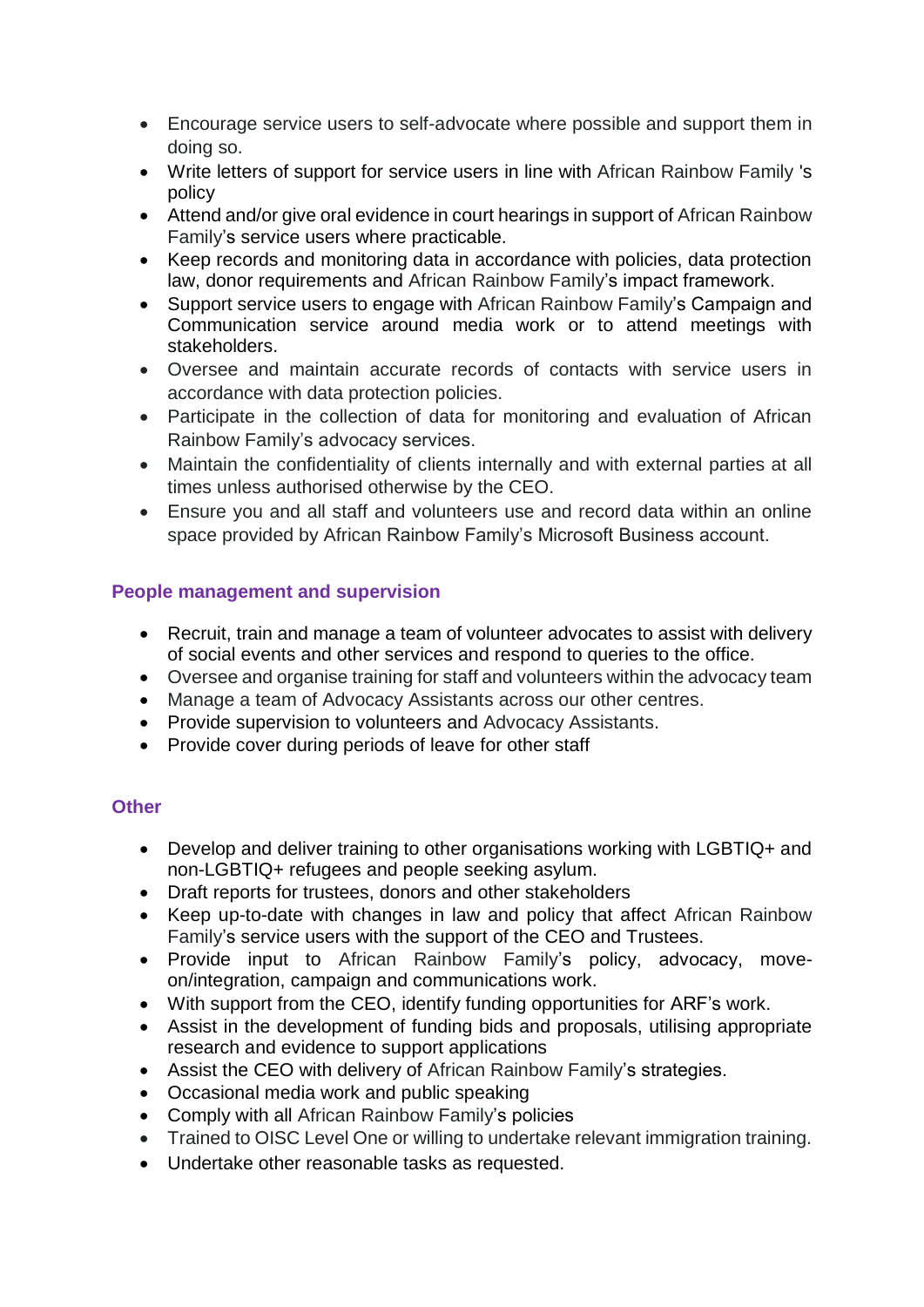- Encourage service users to self-advocate where possible and support them in doing so.
- Write letters of support for service users in line with African Rainbow Family 's policy
- Attend and/or give oral evidence in court hearings in support of African Rainbow Family's service users where practicable.
- Keep records and monitoring data in accordance with policies, data protection law, donor requirements and African Rainbow Family's impact framework.
- Support service users to engage with African Rainbow Family's Campaign and Communication service around media work or to attend meetings with stakeholders.
- Oversee and maintain accurate records of contacts with service users in accordance with data protection policies.
- Participate in the collection of data for monitoring and evaluation of African Rainbow Family's advocacy services.
- Maintain the confidentiality of clients internally and with external parties at all times unless authorised otherwise by the CEO.
- Ensure you and all staff and volunteers use and record data within an online space provided by African Rainbow Family's Microsoft Business account.

## **People management and supervision**

- Recruit, train and manage a team of volunteer advocates to assist with delivery of social events and other services and respond to queries to the office.
- Oversee and organise training for staff and volunteers within the advocacy team
- Manage a team of Advocacy Assistants across our other centres.
- Provide supervision to volunteers and Advocacy Assistants.
- Provide cover during periods of leave for other staff

## **Other**

- Develop and deliver training to other organisations working with LGBTIQ+ and non-LGBTIQ+ refugees and people seeking asylum.
- Draft reports for trustees, donors and other stakeholders
- Keep up-to-date with changes in law and policy that affect African Rainbow Family's service users with the support of the CEO and Trustees.
- Provide input to African Rainbow Family's policy, advocacy, moveon/integration, campaign and communications work.
- With support from the CEO, identify funding opportunities for ARF's work.
- Assist in the development of funding bids and proposals, utilising appropriate research and evidence to support applications
- Assist the CEO with delivery of African Rainbow Family's strategies.
- Occasional media work and public speaking
- Comply with all African Rainbow Family's policies
- Trained to OISC Level One or willing to undertake relevant immigration training.
- Undertake other reasonable tasks as requested.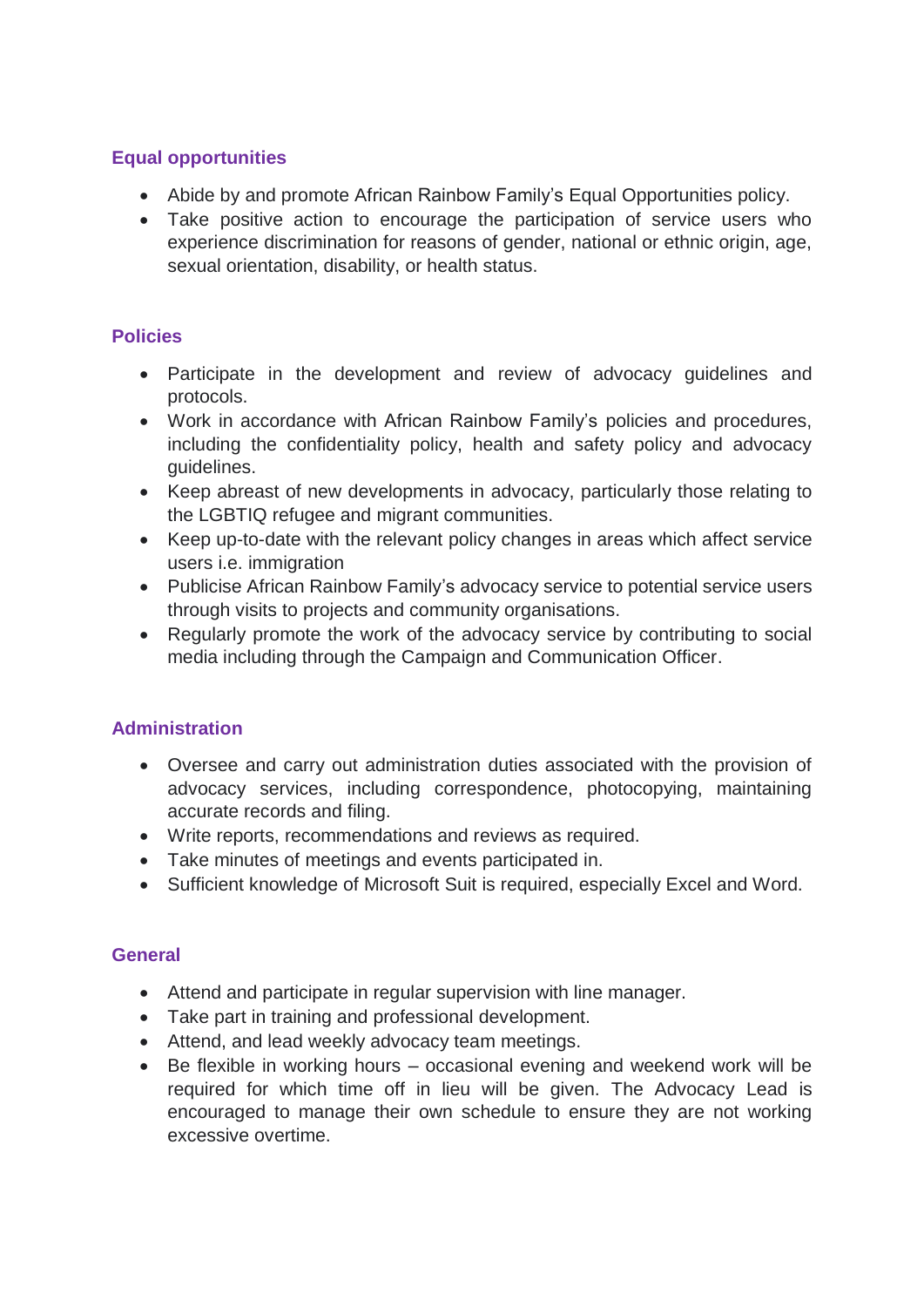## **Equal opportunities**

- Abide by and promote African Rainbow Family's Equal Opportunities policy.
- Take positive action to encourage the participation of service users who experience discrimination for reasons of gender, national or ethnic origin, age, sexual orientation, disability, or health status.

## **Policies**

- Participate in the development and review of advocacy guidelines and protocols.
- Work in accordance with African Rainbow Family's policies and procedures, including the confidentiality policy, health and safety policy and advocacy guidelines.
- Keep abreast of new developments in advocacy, particularly those relating to the LGBTIQ refugee and migrant communities.
- Keep up-to-date with the relevant policy changes in areas which affect service users i.e. immigration
- Publicise African Rainbow Family's advocacy service to potential service users through visits to projects and community organisations.
- Regularly promote the work of the advocacy service by contributing to social media including through the Campaign and Communication Officer.

## **Administration**

- Oversee and carry out administration duties associated with the provision of advocacy services, including correspondence, photocopying, maintaining accurate records and filing.
- Write reports, recommendations and reviews as required.
- Take minutes of meetings and events participated in.
- Sufficient knowledge of Microsoft Suit is required, especially Excel and Word.

## **General**

- Attend and participate in regular supervision with line manager.
- Take part in training and professional development.
- Attend, and lead weekly advocacy team meetings.
- Be flexible in working hours occasional evening and weekend work will be required for which time off in lieu will be given. The Advocacy Lead is encouraged to manage their own schedule to ensure they are not working excessive overtime.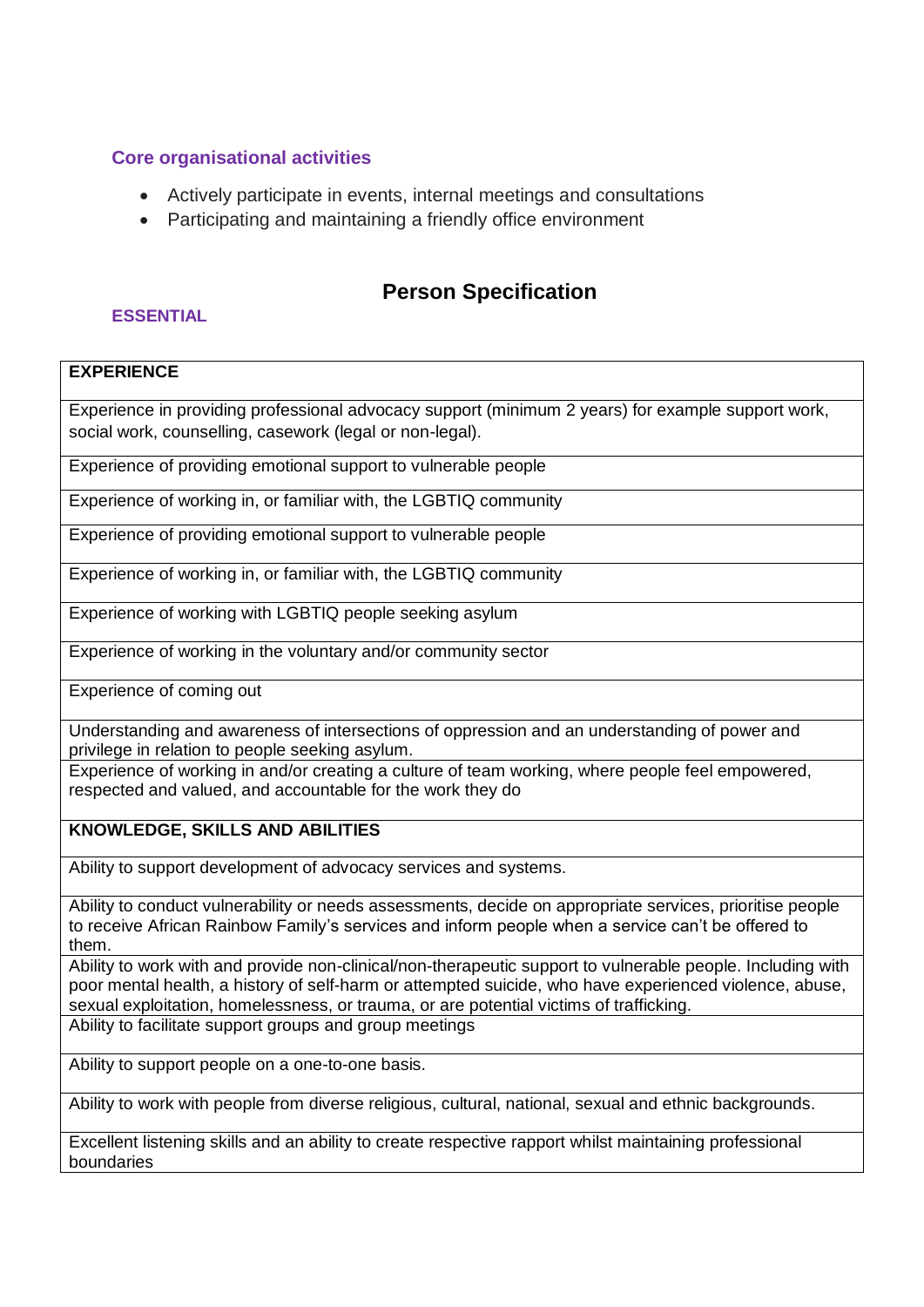## **Core organisational activities**

- Actively participate in events, internal meetings and consultations
- Participating and maintaining a friendly office environment

# **Person Specification**

### **ESSENTIAL**

## **EXPERIENCE**

Experience in providing professional advocacy support (minimum 2 years) for example support work, social work, counselling, casework (legal or non-legal).

Experience of providing emotional support to vulnerable people

Experience of working in, or familiar with, the LGBTIQ community

Experience of providing emotional support to vulnerable people

Experience of working in, or familiar with, the LGBTIQ community

Experience of working with LGBTIQ people seeking asylum

Experience of working in the voluntary and/or community sector

Experience of coming out

Understanding and awareness of intersections of oppression and an understanding of power and privilege in relation to people seeking asylum.

Experience of working in and/or creating a culture of team working, where people feel empowered, respected and valued, and accountable for the work they do

### **KNOWLEDGE, SKILLS AND ABILITIES**

Ability to support development of advocacy services and systems.

Ability to conduct vulnerability or needs assessments, decide on appropriate services, prioritise people to receive African Rainbow Family's services and inform people when a service can't be offered to them.

Ability to work with and provide non-clinical/non-therapeutic support to vulnerable people. Including with poor mental health, a history of self-harm or attempted suicide, who have experienced violence, abuse, sexual exploitation, homelessness, or trauma, or are potential victims of trafficking. Ability to facilitate support groups and group meetings

Ability to support people on a one-to-one basis.

Ability to work with people from diverse religious, cultural, national, sexual and ethnic backgrounds.

Excellent listening skills and an ability to create respective rapport whilst maintaining professional boundaries